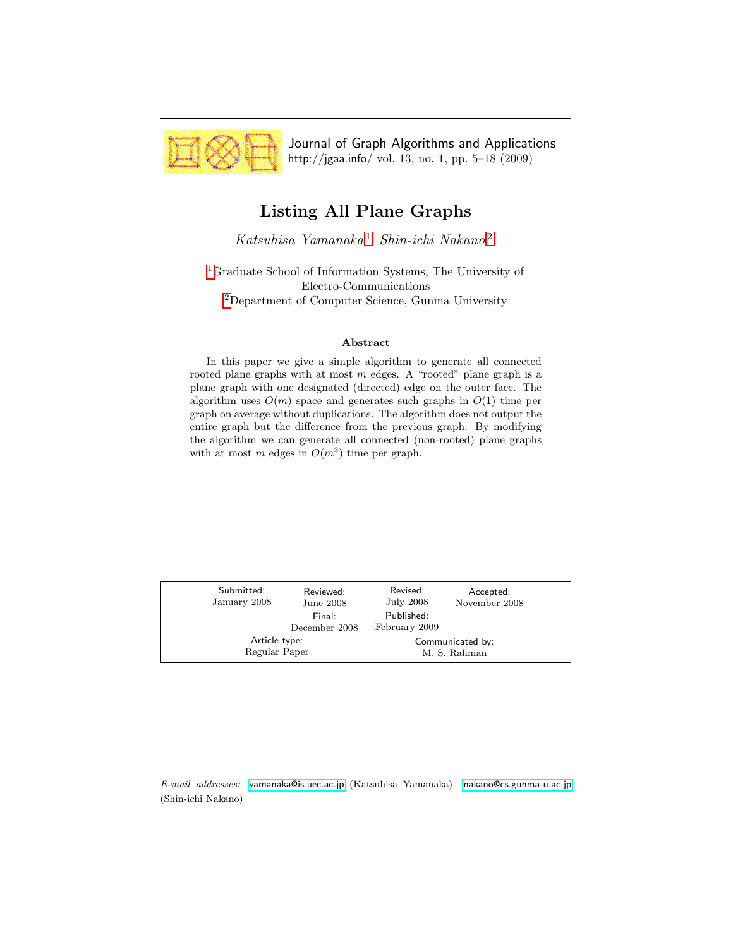<span id="page-0-0"></span>

Journal of Graph Algorithms and Applications http://jgaa.info/ vol. 13, no. 1, pp. 5–18 (2009)

# Listing All Plane Graphs

Katsuhisa Yamanaka<sup>[1](#page-0-0)</sup> Shin-ichi Nakano<sup>[2](#page-0-0)</sup>

[1](#page-0-0)Graduate School of Information Systems, The University of Electro-Communications [2](#page-0-0)Department of Computer Science, Gunma University

### Abstract

In this paper we give a simple algorithm to generate all connected rooted plane graphs with at most  $m$  edges. A "rooted" plane graph is a plane graph with one designated (directed) edge on the outer face. The algorithm uses  $O(m)$  space and generates such graphs in  $O(1)$  time per graph on average without duplications. The algorithm does not output the entire graph but the difference from the previous graph. By modifying the algorithm we can generate all connected (non-rooted) plane graphs with at most m edges in  $O(m^3)$  time per graph.

| Submitted:<br>January 2008 | Reviewed:<br>June 2008<br>Final:<br>December 2008 | Revised:<br>July 2008<br>Published:<br>February 2009 | Accepted:<br>November 2008 |
|----------------------------|---------------------------------------------------|------------------------------------------------------|----------------------------|
| Article type:              |                                                   | Communicated by:                                     |                            |
| Regular Paper              |                                                   | M. S. Rahman                                         |                            |

E-mail addresses: [yamanaka@is.uec.ac.jp](mailto:yamanaka@is.uec.ac.jp) (Katsuhisa Yamanaka) [nakano@cs.gunma-u.ac.jp](mailto:nakano@cs.gunma-u.ac.jp) (Shin-ichi Nakano)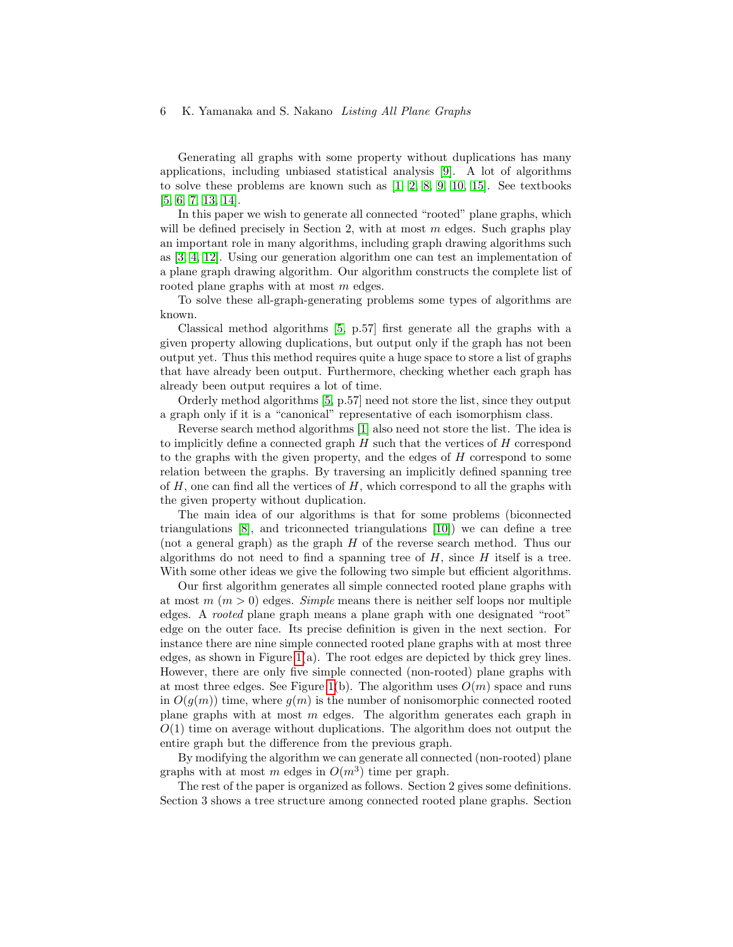### 6 K. Yamanaka and S. Nakano Listing All Plane Graphs

Generating all graphs with some property without duplications has many applications, including unbiased statistical analysis [\[9\]](#page-13-0). A lot of algorithms to solve these problems are known such as [\[1,](#page-13-1) [2,](#page-13-2) [8,](#page-13-3) [9,](#page-13-0) [10,](#page-13-4) [15\]](#page-13-5). See textbooks [\[5,](#page-13-6) [6,](#page-13-7) [7,](#page-13-8) [13,](#page-13-9) [14\]](#page-13-10).

In this paper we wish to generate all connected "rooted" plane graphs, which will be defined precisely in Section 2, with at most  $m$  edges. Such graphs play an important role in many algorithms, including graph drawing algorithms such as [\[3,](#page-13-11) [4,](#page-13-12) [12\]](#page-13-13). Using our generation algorithm one can test an implementation of a plane graph drawing algorithm. Our algorithm constructs the complete list of rooted plane graphs with at most m edges.

To solve these all-graph-generating problems some types of algorithms are known.

Classical method algorithms [\[5,](#page-13-6) p.57] first generate all the graphs with a given property allowing duplications, but output only if the graph has not been output yet. Thus this method requires quite a huge space to store a list of graphs that have already been output. Furthermore, checking whether each graph has already been output requires a lot of time.

Orderly method algorithms [\[5,](#page-13-6) p.57] need not store the list, since they output a graph only if it is a "canonical" representative of each isomorphism class.

Reverse search method algorithms [\[1\]](#page-13-1) also need not store the list. The idea is to implicitly define a connected graph  $H$  such that the vertices of  $H$  correspond to the graphs with the given property, and the edges of  $H$  correspond to some relation between the graphs. By traversing an implicitly defined spanning tree of  $H$ , one can find all the vertices of  $H$ , which correspond to all the graphs with the given property without duplication.

The main idea of our algorithms is that for some problems (biconnected triangulations [\[8\]](#page-13-3), and triconnected triangulations [\[10\]](#page-13-4)) we can define a tree (not a general graph) as the graph H of the reverse search method. Thus our algorithms do not need to find a spanning tree of  $H$ , since  $H$  itself is a tree. With some other ideas we give the following two simple but efficient algorithms.

Our first algorithm generates all simple connected rooted plane graphs with at most  $m (m > 0)$  edges. Simple means there is neither self loops nor multiple edges. A rooted plane graph means a plane graph with one designated "root" edge on the outer face. Its precise definition is given in the next section. For instance there are nine simple connected rooted plane graphs with at most three edges, as shown in Figure [1\(](#page-2-0)a). The root edges are depicted by thick grey lines. However, there are only five simple connected (non-rooted) plane graphs with at most three edges. See Figure [1\(](#page-2-0)b). The algorithm uses  $O(m)$  space and runs in  $O(q(m))$  time, where  $q(m)$  is the number of nonisomorphic connected rooted plane graphs with at most  $m$  edges. The algorithm generates each graph in  $O(1)$  time on average without duplications. The algorithm does not output the entire graph but the difference from the previous graph.

By modifying the algorithm we can generate all connected (non-rooted) plane graphs with at most m edges in  $O(m^3)$  time per graph.

The rest of the paper is organized as follows. Section 2 gives some definitions. Section 3 shows a tree structure among connected rooted plane graphs. Section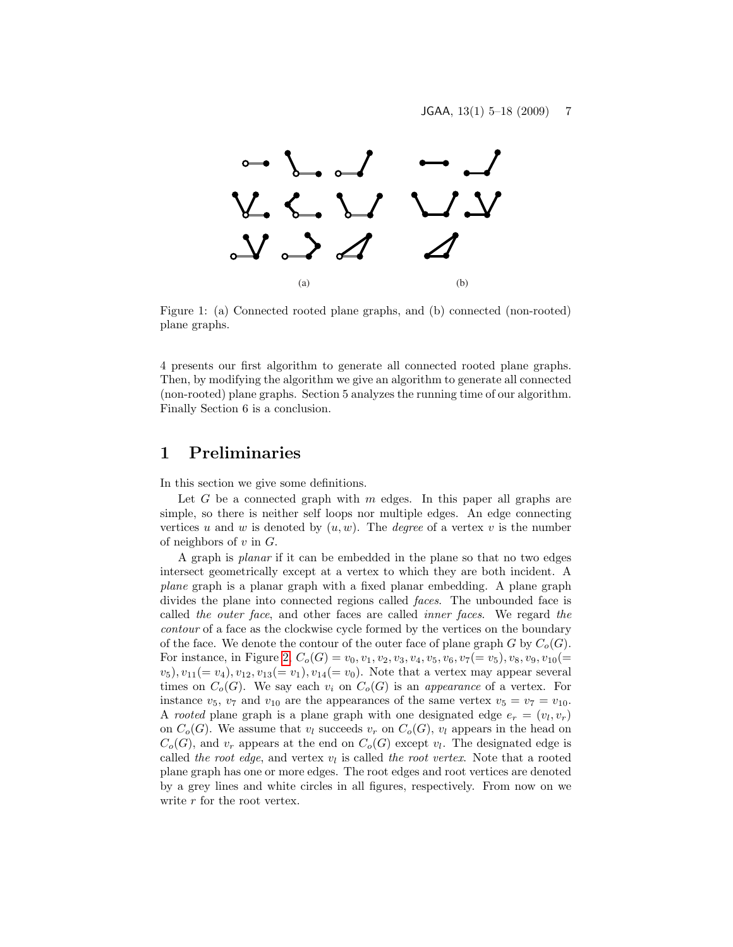

<span id="page-2-0"></span>Figure 1: (a) Connected rooted plane graphs, and (b) connected (non-rooted) plane graphs.

4 presents our first algorithm to generate all connected rooted plane graphs. Then, by modifying the algorithm we give an algorithm to generate all connected (non-rooted) plane graphs. Section 5 analyzes the running time of our algorithm. Finally Section 6 is a conclusion.

### 1 Preliminaries

In this section we give some definitions.

Let  $G$  be a connected graph with  $m$  edges. In this paper all graphs are simple, so there is neither self loops nor multiple edges. An edge connecting vertices u and w is denoted by  $(u, w)$ . The *degree* of a vertex v is the number of neighbors of  $v$  in  $G$ .

A graph is planar if it can be embedded in the plane so that no two edges intersect geometrically except at a vertex to which they are both incident. A plane graph is a planar graph with a fixed planar embedding. A plane graph divides the plane into connected regions called faces. The unbounded face is called the outer face, and other faces are called inner faces. We regard the contour of a face as the clockwise cycle formed by the vertices on the boundary of the face. We denote the contour of the outer face of plane graph G by  $C_o(G)$ . For instance, in Figure [2,](#page-3-0)  $C_o(G) = v_0, v_1, v_2, v_3, v_4, v_5, v_6, v_7 (= v_5), v_8, v_9, v_{10}(=$  $(v_5), v_{11} (= v_4), v_{12}, v_{13} (= v_1), v_{14} (= v_0)$ . Note that a vertex may appear several times on  $C_o(G)$ . We say each  $v_i$  on  $C_o(G)$  is an appearance of a vertex. For instance  $v_5$ ,  $v_7$  and  $v_{10}$  are the appearances of the same vertex  $v_5 = v_7 = v_{10}$ . A rooted plane graph is a plane graph with one designated edge  $e_r = (v_l, v_r)$ on  $C_o(G)$ . We assume that  $v_l$  succeeds  $v_r$  on  $C_o(G)$ ,  $v_l$  appears in the head on  $C_o(G)$ , and  $v_r$  appears at the end on  $C_o(G)$  except  $v_l$ . The designated edge is called the root edge, and vertex  $v_l$  is called the root vertex. Note that a rooted plane graph has one or more edges. The root edges and root vertices are denoted by a grey lines and white circles in all figures, respectively. From now on we write  $r$  for the root vertex.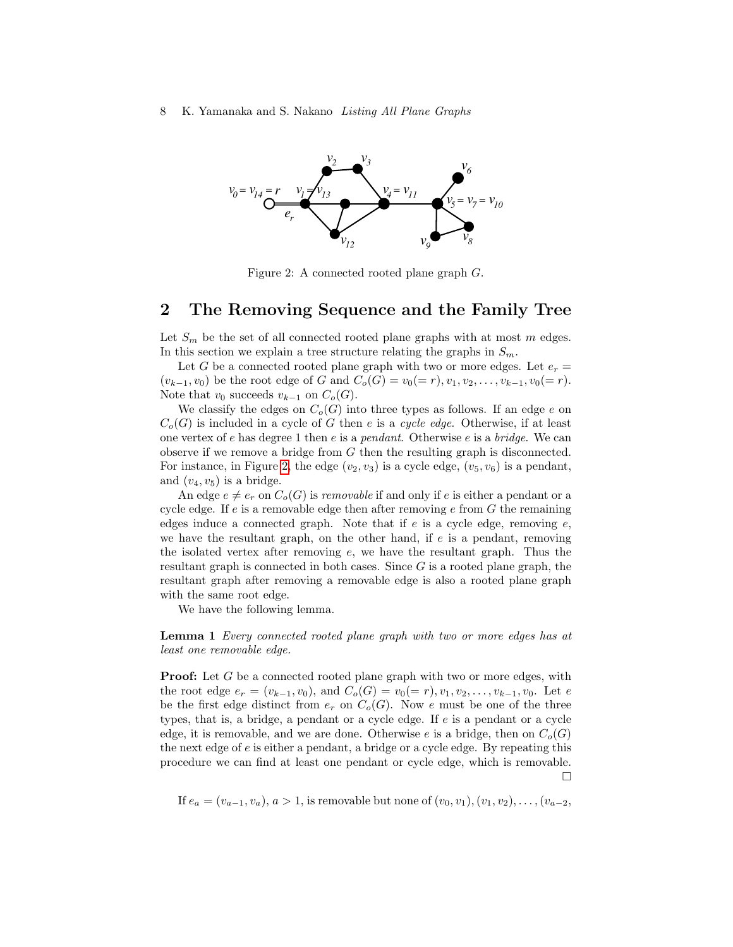#### 8 K. Yamanaka and S. Nakano Listing All Plane Graphs



<span id="page-3-0"></span>Figure 2: A connected rooted plane graph G.

### 2 The Removing Sequence and the Family Tree

Let  $S_m$  be the set of all connected rooted plane graphs with at most m edges. In this section we explain a tree structure relating the graphs in  $S_m$ .

Let G be a connected rooted plane graph with two or more edges. Let  $e_r =$  $(v_{k-1}, v_0)$  be the root edge of G and  $C_o(G) = v_0(= r), v_1, v_2, \ldots, v_{k-1}, v_0(= r)$ . Note that  $v_0$  succeeds  $v_{k-1}$  on  $C_o(G)$ .

We classify the edges on  $C_o(G)$  into three types as follows. If an edge e on  $C<sub>o</sub>(G)$  is included in a cycle of G then e is a cycle edge. Otherwise, if at least one vertex of e has degree 1 then e is a *pendant*. Otherwise e is a *bridge*. We can observe if we remove a bridge from G then the resulting graph is disconnected. For instance, in Figure [2,](#page-3-0) the edge  $(v_2, v_3)$  is a cycle edge,  $(v_5, v_6)$  is a pendant, and  $(v_4, v_5)$  is a bridge.

An edge  $e \neq e_r$  on  $C_o(G)$  is *removable* if and only if e is either a pendant or a cycle edge. If  $e$  is a removable edge then after removing  $e$  from  $G$  the remaining edges induce a connected graph. Note that if  $e$  is a cycle edge, removing  $e$ , we have the resultant graph, on the other hand, if  $e$  is a pendant, removing the isolated vertex after removing e, we have the resultant graph. Thus the resultant graph is connected in both cases. Since  $G$  is a rooted plane graph, the resultant graph after removing a removable edge is also a rooted plane graph with the same root edge.

We have the following lemma.

Lemma 1 Every connected rooted plane graph with two or more edges has at least one removable edge.

**Proof:** Let G be a connected rooted plane graph with two or more edges, with the root edge  $e_r = (v_{k-1}, v_0)$ , and  $C_o(G) = v_0(= r), v_1, v_2, \ldots, v_{k-1}, v_0$ . Let e be the first edge distinct from  $e_r$  on  $C_o(G)$ . Now e must be one of the three types, that is, a bridge, a pendant or a cycle edge. If  $e$  is a pendant or a cycle edge, it is removable, and we are done. Otherwise e is a bridge, then on  $C_o(G)$ the next edge of  $e$  is either a pendant, a bridge or a cycle edge. By repeating this procedure we can find at least one pendant or cycle edge, which is removable.  $\Box$ 

If 
$$
e_a = (v_{a-1}, v_a), a > 1
$$
, is removable but none of  $(v_0, v_1), (v_1, v_2), \ldots, (v_{a-2},$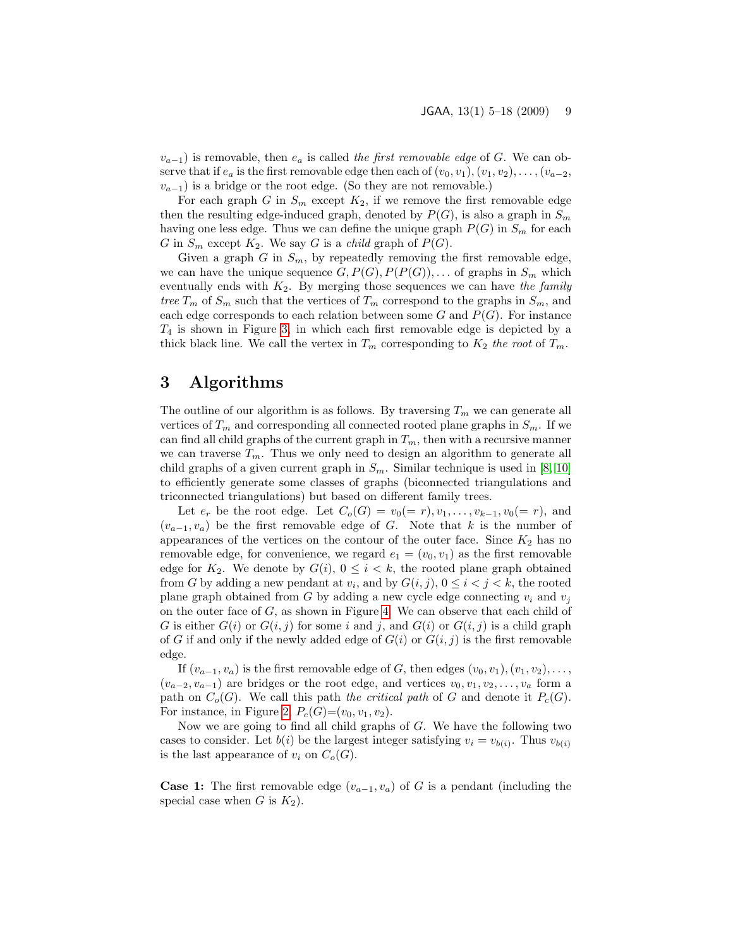$v_{a-1}$ ) is removable, then  $e_a$  is called the first removable edge of G. We can observe that if  $e_a$  is the first removable edge then each of  $(v_0, v_1), (v_1, v_2), \ldots, (v_{a-2},$  $v_{a-1}$ ) is a bridge or the root edge. (So they are not removable.)

For each graph G in  $S_m$  except  $K_2$ , if we remove the first removable edge then the resulting edge-induced graph, denoted by  $P(G)$ , is also a graph in  $S_m$ having one less edge. Thus we can define the unique graph  $P(G)$  in  $S_m$  for each G in  $S_m$  except  $K_2$ . We say G is a *child* graph of  $P(G)$ .

Given a graph G in  $S_m$ , by repeatedly removing the first removable edge, we can have the unique sequence  $G, P(G), P(P(G)), \ldots$  of graphs in  $S_m$  which eventually ends with  $K_2$ . By merging those sequences we can have the family tree  $T_m$  of  $S_m$  such that the vertices of  $T_m$  correspond to the graphs in  $S_m$ , and each edge corresponds to each relation between some  $G$  and  $P(G)$ . For instance  $T_4$  is shown in Figure [3,](#page-5-0) in which each first removable edge is depicted by a thick black line. We call the vertex in  $T_m$  corresponding to  $K_2$  the root of  $T_m$ .

## 3 Algorithms

The outline of our algorithm is as follows. By traversing  $T_m$  we can generate all vertices of  $T_m$  and corresponding all connected rooted plane graphs in  $S_m$ . If we can find all child graphs of the current graph in  $T_m$ , then with a recursive manner we can traverse  $T_m$ . Thus we only need to design an algorithm to generate all child graphs of a given current graph in  $S_m$ . Similar technique is used in [\[8,](#page-13-3) [10\]](#page-13-4) to efficiently generate some classes of graphs (biconnected triangulations and triconnected triangulations) but based on different family trees.

Let  $e_r$  be the root edge. Let  $C_o(G) = v_0(= r), v_1, \ldots, v_{k-1}, v_0(= r)$ , and  $(v_{a-1}, v_a)$  be the first removable edge of G. Note that k is the number of appearances of the vertices on the contour of the outer face. Since  $K_2$  has no removable edge, for convenience, we regard  $e_1 = (v_0, v_1)$  as the first removable edge for  $K_2$ . We denote by  $G(i)$ ,  $0 \leq i \leq k$ , the rooted plane graph obtained from G by adding a new pendant at  $v_i$ , and by  $G(i, j)$ ,  $0 \leq i < j < k$ , the rooted plane graph obtained from G by adding a new cycle edge connecting  $v_i$  and  $v_j$ on the outer face of G, as shown in Figure [4.](#page-6-0) We can observe that each child of G is either  $G(i)$  or  $G(i, j)$  for some i and j, and  $G(i)$  or  $G(i, j)$  is a child graph of G if and only if the newly added edge of  $G(i)$  or  $G(i, j)$  is the first removable edge.

If  $(v_{a-1}, v_a)$  is the first removable edge of G, then edges  $(v_0, v_1), (v_1, v_2), \ldots$ ,  $(v_{a-2}, v_{a-1})$  are bridges or the root edge, and vertices  $v_0, v_1, v_2, \ldots, v_a$  form a path on  $C_o(G)$ . We call this path the critical path of G and denote it  $P_c(G)$ . For instance, in Figure [2,](#page-3-0)  $P_c(G)=(v_0, v_1, v_2)$ .

Now we are going to find all child graphs of  $G$ . We have the following two cases to consider. Let  $b(i)$  be the largest integer satisfying  $v_i = v_{b(i)}$ . Thus  $v_{b(i)}$ is the last appearance of  $v_i$  on  $C_o(G)$ .

**Case 1:** The first removable edge  $(v_{a-1}, v_a)$  of G is a pendant (including the special case when G is  $K_2$ ).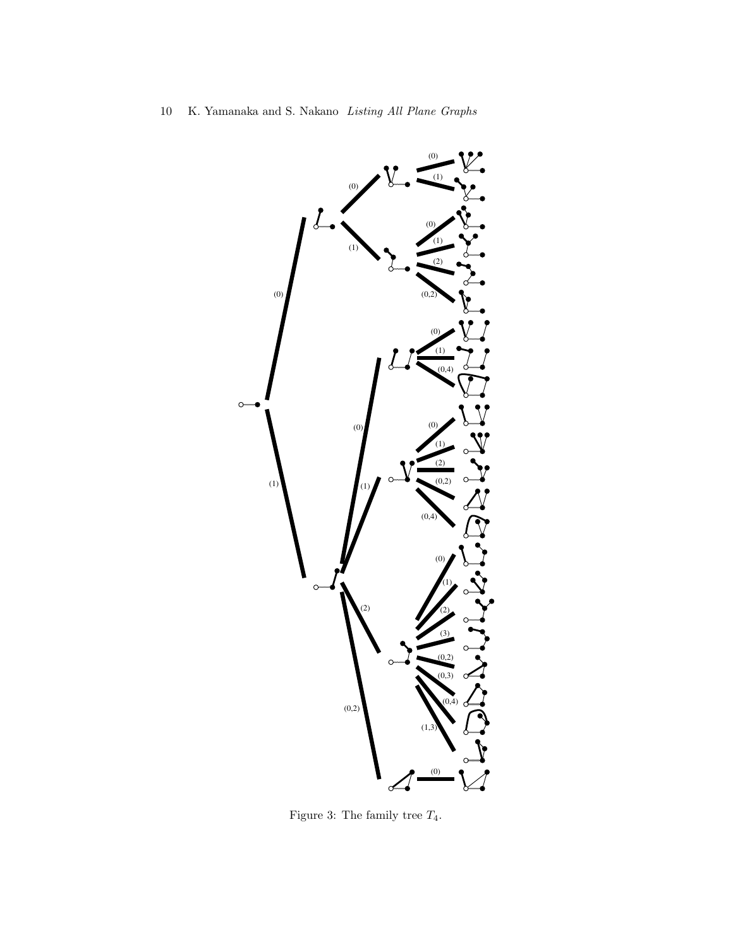

<span id="page-5-0"></span>Figure 3: The family tree  $T_4$ .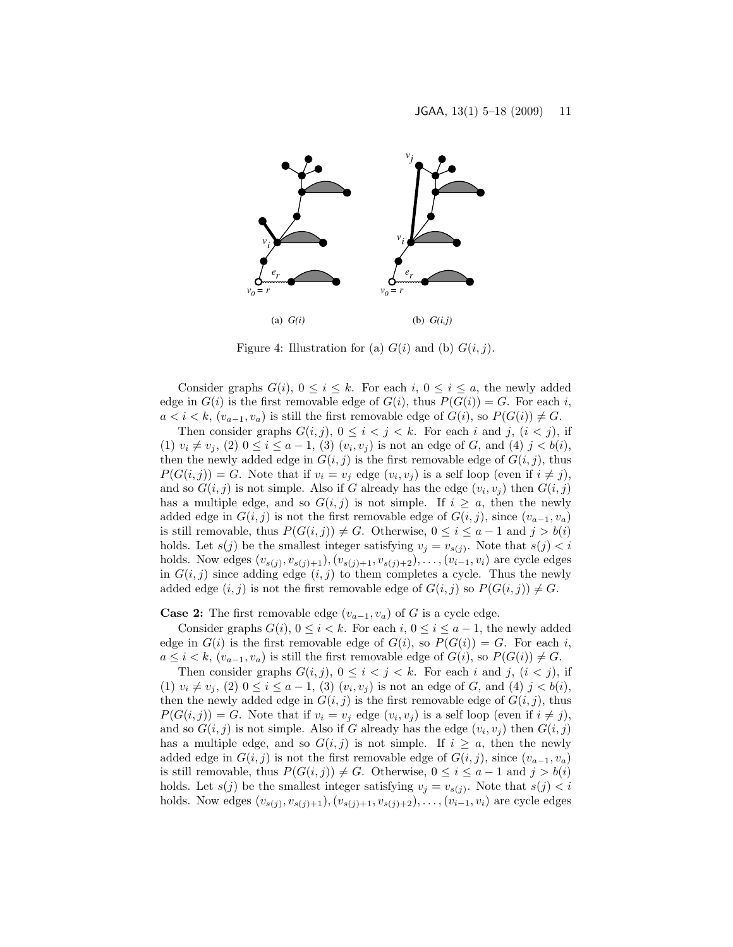

<span id="page-6-0"></span>Figure 4: Illustration for (a)  $G(i)$  and (b)  $G(i, j)$ .

Consider graphs  $G(i)$ ,  $0 \le i \le k$ . For each  $i, 0 \le i \le a$ , the newly added edge in  $G(i)$  is the first removable edge of  $G(i)$ , thus  $P(G(i)) = G$ . For each i,  $a < i < k$ ,  $(v_{a-1}, v_a)$  is still the first removable edge of  $G(i)$ , so  $P(G(i)) \neq G$ .

Then consider graphs  $G(i, j)$ ,  $0 \leq i < j < k$ . For each i and j,  $(i < j)$ , if (1)  $v_i \neq v_j$ , (2)  $0 \leq i \leq a-1$ , (3)  $(v_i, v_j)$  is not an edge of G, and (4)  $j < b(i)$ , then the newly added edge in  $G(i, j)$  is the first removable edge of  $G(i, j)$ , thus  $P(G(i, j)) = G$ . Note that if  $v_i = v_j$  edge  $(v_i, v_j)$  is a self loop (even if  $i \neq j$ ), and so  $G(i, j)$  is not simple. Also if G already has the edge  $(v_i, v_j)$  then  $G(i, j)$ has a multiple edge, and so  $G(i, j)$  is not simple. If  $i \geq a$ , then the newly added edge in  $G(i, j)$  is not the first removable edge of  $G(i, j)$ , since  $(v_{a-1}, v_a)$ is still removable, thus  $P(G(i, j)) \neq G$ . Otherwise,  $0 \leq i \leq a - 1$  and  $j > b(i)$ holds. Let  $s(j)$  be the smallest integer satisfying  $v_j = v_{s(j)}$ . Note that  $s(j) < i$ holds. Now edges  $(v_{s(j)}, v_{s(j)+1}), (v_{s(j)+1}, v_{s(j)+2}), \ldots, (v_{i-1}, v_i)$  are cycle edges in  $G(i, j)$  since adding edge  $(i, j)$  to them completes a cycle. Thus the newly added edge  $(i, j)$  is not the first removable edge of  $G(i, j)$  so  $P(G(i, j)) \neq G$ .

**Case 2:** The first removable edge  $(v_{a-1}, v_a)$  of G is a cycle edge.

Consider graphs  $G(i)$ ,  $0 \leq i \leq k$ . For each  $i, 0 \leq i \leq a-1$ , the newly added edge in  $G(i)$  is the first removable edge of  $G(i)$ , so  $P(G(i)) = G$ . For each i,  $a \leq i < k$ ,  $(v_{a-1}, v_a)$  is still the first removable edge of  $G(i)$ , so  $P(G(i)) \neq G$ .

Then consider graphs  $G(i, j)$ ,  $0 \leq i < j < k$ . For each i and j,  $(i < j)$ , if (1)  $v_i \neq v_j$ , (2)  $0 \leq i \leq a-1$ , (3)  $(v_i, v_j)$  is not an edge of G, and (4)  $j < b(i)$ , then the newly added edge in  $G(i, j)$  is the first removable edge of  $G(i, j)$ , thus  $P(G(i, j)) = G$ . Note that if  $v_i = v_j$  edge  $(v_i, v_j)$  is a self loop (even if  $i \neq j$ ), and so  $G(i, j)$  is not simple. Also if G already has the edge  $(v_i, v_j)$  then  $G(i, j)$ has a multiple edge, and so  $G(i, j)$  is not simple. If  $i \geq a$ , then the newly added edge in  $G(i, j)$  is not the first removable edge of  $G(i, j)$ , since  $(v_{a-1}, v_a)$ is still removable, thus  $P(G(i, j)) \neq G$ . Otherwise,  $0 \leq i \leq a-1$  and  $j > b(i)$ holds. Let  $s(j)$  be the smallest integer satisfying  $v_j = v_{s(j)}$ . Note that  $s(j) < i$ holds. Now edges  $(v_{s(j)}, v_{s(j)+1}), (v_{s(j)+1}, v_{s(j)+2}), \ldots, (v_{i-1}, v_i)$  are cycle edges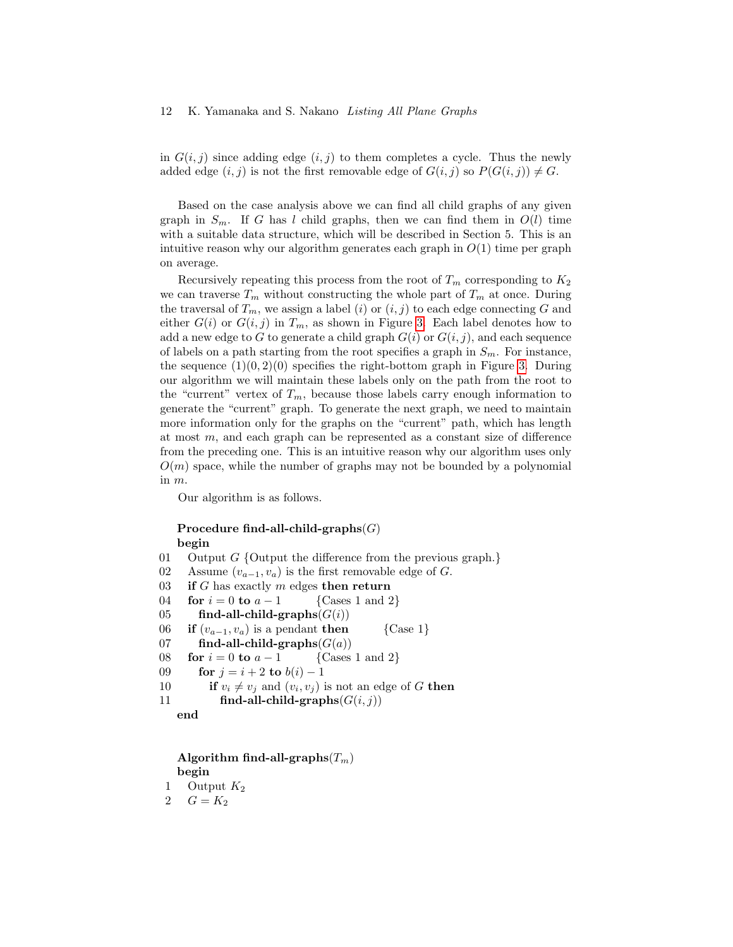in  $G(i, j)$  since adding edge  $(i, j)$  to them completes a cycle. Thus the newly added edge  $(i, j)$  is not the first removable edge of  $G(i, j)$  so  $P(G(i, j)) \neq G$ .

Based on the case analysis above we can find all child graphs of any given graph in  $S_m$ . If G has l child graphs, then we can find them in  $O(l)$  time with a suitable data structure, which will be described in Section 5. This is an intuitive reason why our algorithm generates each graph in  $O(1)$  time per graph on average.

Recursively repeating this process from the root of  $T_m$  corresponding to  $K_2$ we can traverse  $T_m$  without constructing the whole part of  $T_m$  at once. During the traversal of  $T_m$ , we assign a label (i) or  $(i, j)$  to each edge connecting G and either  $G(i)$  or  $G(i, j)$  in  $T_m$ , as shown in Figure [3.](#page-5-0) Each label denotes how to add a new edge to G to generate a child graph  $G(i)$  or  $G(i, j)$ , and each sequence of labels on a path starting from the root specifies a graph in  $S_m$ . For instance, the sequence  $(1)(0, 2)(0)$  specifies the right-bottom graph in Figure [3.](#page-5-0) During our algorithm we will maintain these labels only on the path from the root to the "current" vertex of  $T_m$ , because those labels carry enough information to generate the "current" graph. To generate the next graph, we need to maintain more information only for the graphs on the "current" path, which has length at most m, and each graph can be represented as a constant size of difference from the preceding one. This is an intuitive reason why our algorithm uses only  $O(m)$  space, while the number of graphs may not be bounded by a polynomial in m.

Our algorithm is as follows.

### Procedure find-all-child-graphs $(G)$ begin

01 Output  $G$  {Output the difference from the previous graph.} 02 Assume  $(v_{a-1}, v_a)$  is the first removable edge of G. 03 if G has exactly m edges then return 04 **for**  $i = 0$  **to**  $a - 1$  {Cases 1 and 2} 05 find-all-child-graphs $(G(i))$ 06 if  $(v_{a-1}, v_a)$  is a pendant then {Case 1} 07 find-all-child-graphs $(G(a))$ 08 **for**  $i = 0$  **to**  $a - 1$  {Cases 1 and 2} 09 **for**  $j = i + 2$  to  $b(i) - 1$ 10 if  $v_i \neq v_j$  and  $(v_i, v_j)$  is not an edge of G then 11 find-all-child-graphs $(G(i, j))$ 

end

Algorithm find-all-graphs $(T_m)$ begin

1 Output  $K_2$ 

```
2 G = K_2
```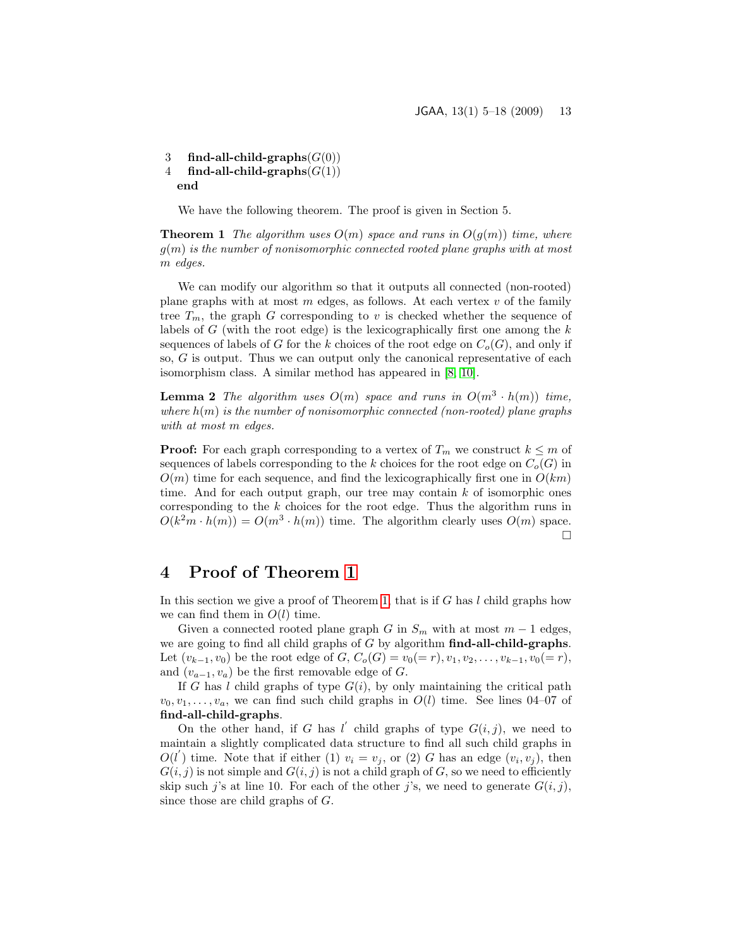3 find-all-child-graphs $(G(0))$ 4 find-all-child-graphs $(G(1))$ end

We have the following theorem. The proof is given in Section 5.

<span id="page-8-0"></span>**Theorem 1** The algorithm uses  $O(m)$  space and runs in  $O(g(m))$  time, where  $g(m)$  is the number of nonisomorphic connected rooted plane graphs with at most m edges.

We can modify our algorithm so that it outputs all connected (non-rooted) plane graphs with at most  $m$  edges, as follows. At each vertex  $v$  of the family tree  $T_m$ , the graph G corresponding to v is checked whether the sequence of labels of  $G$  (with the root edge) is the lexicographically first one among the  $k$ sequences of labels of G for the k choices of the root edge on  $C<sub>o</sub>(G)$ , and only if so, G is output. Thus we can output only the canonical representative of each isomorphism class. A similar method has appeared in [\[8,](#page-13-3) [10\]](#page-13-4).

**Lemma 2** The algorithm uses  $O(m)$  space and runs in  $O(m^3 \cdot h(m))$  time, where  $h(m)$  is the number of nonisomorphic connected (non-rooted) plane graphs with at most m edges.

**Proof:** For each graph corresponding to a vertex of  $T_m$  we construct  $k \leq m$  of sequences of labels corresponding to the k choices for the root edge on  $C_o(G)$  in  $O(m)$  time for each sequence, and find the lexicographically first one in  $O(km)$ time. And for each output graph, our tree may contain  $k$  of isomorphic ones corresponding to the  $k$  choices for the root edge. Thus the algorithm runs in  $O(k^2m \cdot h(m)) = O(m^3 \cdot h(m))$  time. The algorithm clearly uses  $O(m)$  space. П

### 4 Proof of Theorem [1](#page-8-0)

In this section we give a proof of Theorem [1,](#page-8-0) that is if G has  $l$  child graphs how we can find them in  $O(l)$  time.

Given a connected rooted plane graph G in  $S_m$  with at most  $m-1$  edges, we are going to find all child graphs of  $G$  by algorithm  $find-all-child-graphs$ . Let  $(v_{k-1}, v_0)$  be the root edge of  $G, C_o(G) = v_0(= r), v_1, v_2, \ldots, v_{k-1}, v_0(= r)$ , and  $(v_{a-1}, v_a)$  be the first removable edge of G.

If G has l child graphs of type  $G(i)$ , by only maintaining the critical path  $v_0, v_1, \ldots, v_a$ , we can find such child graphs in  $O(l)$  time. See lines 04–07 of find-all-child-graphs.

On the other hand, if G has l' child graphs of type  $G(i, j)$ , we need to maintain a slightly complicated data structure to find all such child graphs in  $O(l')$  time. Note that if either (1)  $v_i = v_j$ , or (2) G has an edge  $(v_i, v_j)$ , then  $G(i, j)$  is not simple and  $G(i, j)$  is not a child graph of G, so we need to efficiently skip such j's at line 10. For each of the other j's, we need to generate  $G(i, j)$ , since those are child graphs of G.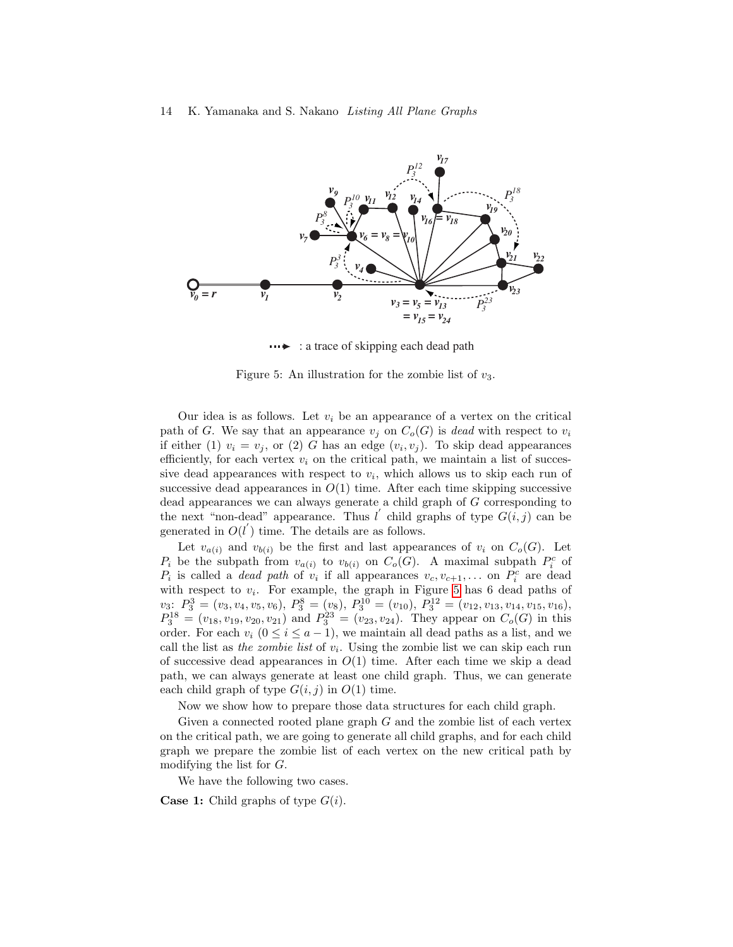

<span id="page-9-0"></span> $\cdots$ : a trace of skipping each dead path

Figure 5: An illustration for the zombie list of  $v_3$ .

Our idea is as follows. Let  $v_i$  be an appearance of a vertex on the critical path of G. We say that an appearance  $v_j$  on  $C_o(G)$  is dead with respect to  $v_i$ if either (1)  $v_i = v_j$ , or (2) G has an edge  $(v_i, v_j)$ . To skip dead appearances efficiently, for each vertex  $v_i$  on the critical path, we maintain a list of successive dead appearances with respect to  $v_i$ , which allows us to skip each run of successive dead appearances in  $O(1)$  time. After each time skipping successive dead appearances we can always generate a child graph of G corresponding to the next "non-dead" appearance. Thus l' child graphs of type  $G(i, j)$  can be generated in  $O(l^{'})$  time. The details are as follows.

Let  $v_{a(i)}$  and  $v_{b(i)}$  be the first and last appearances of  $v_i$  on  $C_o(G)$ . Let  $P_i$  be the subpath from  $v_{a(i)}$  to  $v_{b(i)}$  on  $C_o(G)$ . A maximal subpath  $P_i^c$  of  $P_i$  is called a *dead path* of  $v_i$  if all appearances  $v_c, v_{c+1}, \ldots$  on  $P_i^c$  are dead with respect to  $v_i$ . For example, the graph in Figure [5](#page-9-0) has 6 dead paths of  $v_3: P_3^3 = (v_3, v_4, v_5, v_6), P_3^8 = (v_8), P_3^{10} = (v_{10}), P_3^{12} = (v_{12}, v_{13}, v_{14}, v_{15}, v_{16}),$  $P_3^{18} = (v_{18}, v_{19}, v_{20}, v_{21})$  and  $P_3^{23} = (v_{23}, v_{24})$ . They appear on  $C_o(G)$  in this order. For each  $v_i$   $(0 \le i \le a-1)$ , we maintain all dead paths as a list, and we call the list as the zombie list of  $v_i$ . Using the zombie list we can skip each run of successive dead appearances in  $O(1)$  time. After each time we skip a dead path, we can always generate at least one child graph. Thus, we can generate each child graph of type  $G(i, j)$  in  $O(1)$  time.

Now we show how to prepare those data structures for each child graph.

Given a connected rooted plane graph  $G$  and the zombie list of each vertex on the critical path, we are going to generate all child graphs, and for each child graph we prepare the zombie list of each vertex on the new critical path by modifying the list for G.

We have the following two cases.

**Case 1:** Child graphs of type  $G(i)$ .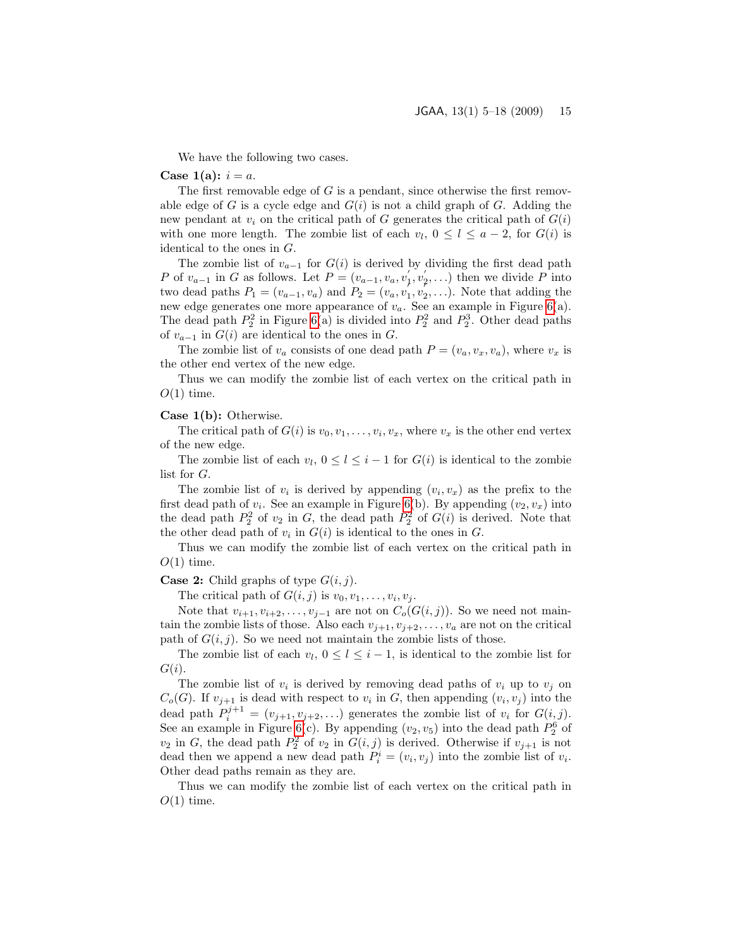We have the following two cases.

#### Case 1(a):  $i = a$ .

The first removable edge of  $G$  is a pendant, since otherwise the first removable edge of G is a cycle edge and  $G(i)$  is not a child graph of G. Adding the new pendant at  $v_i$  on the critical path of G generates the critical path of  $G(i)$ with one more length. The zombie list of each  $v_l$ ,  $0 \le l \le a-2$ , for  $G(i)$  is identical to the ones in G.

The zombie list of  $v_{a-1}$  for  $G(i)$  is derived by dividing the first dead path P of  $v_{a-1}$  in G as follows. Let  $P = (v_{a-1}, v_a, v_1, v_2, ...)$  then we divide P into two dead paths  $P_1 = (v_{a-1}, v_a)$  and  $P_2 = (v_a, v_1, v_2, \ldots)$ . Note that adding the new edge generates one more appearance of  $v_a$ . See an example in Figure [6\(](#page-11-0)a). The dead path  $P_2^2$  in Figure [6\(](#page-11-0)a) is divided into  $P_2^2$  and  $P_2^3$ . Other dead paths of  $v_{a-1}$  in  $G(i)$  are identical to the ones in  $G$ .

The zombie list of  $v_a$  consists of one dead path  $P = (v_a, v_x, v_a)$ , where  $v_x$  is the other end vertex of the new edge.

Thus we can modify the zombie list of each vertex on the critical path in  $O(1)$  time.

#### Case 1(b): Otherwise.

The critical path of  $G(i)$  is  $v_0, v_1, \ldots, v_i, v_x$ , where  $v_x$  is the other end vertex of the new edge.

The zombie list of each  $v_l, 0 \le l \le i-1$  for  $G(i)$  is identical to the zombie list for G.

The zombie list of  $v_i$  is derived by appending  $(v_i, v_x)$  as the prefix to the first dead path of  $v_i$ . See an example in Figure [6\(](#page-11-0)b). By appending  $(v_2, v_x)$  into the dead path  $P_2^2$  of  $v_2$  in G, the dead path  $P_2^2$  of  $G(i)$  is derived. Note that the other dead path of  $v_i$  in  $G(i)$  is identical to the ones in  $G$ .

Thus we can modify the zombie list of each vertex on the critical path in  $O(1)$  time.

#### **Case 2:** Child graphs of type  $G(i, j)$ .

The critical path of  $G(i, j)$  is  $v_0, v_1, \ldots, v_i, v_j$ .

Note that  $v_{i+1}, v_{i+2}, \ldots, v_{j-1}$  are not on  $C_o(G(i, j))$ . So we need not maintain the zombie lists of those. Also each  $v_{j+1}, v_{j+2}, \ldots, v_a$  are not on the critical path of  $G(i, j)$ . So we need not maintain the zombie lists of those.

The zombie list of each  $v_l, 0 \le l \le i-1$ , is identical to the zombie list for  $G(i)$ .

The zombie list of  $v_i$  is derived by removing dead paths of  $v_i$  up to  $v_j$  on  $C_o(G)$ . If  $v_{j+1}$  is dead with respect to  $v_i$  in G, then appending  $(v_i, v_j)$  into the dead path  $P_i^{j+1} = (v_{j+1}, v_{j+2}, \ldots)$  generates the zombie list of  $v_i$  for  $G(i, j)$ . See an example in Figure [6\(](#page-11-0)c). By appending  $(v_2, v_5)$  into the dead path  $P_2^6$  of  $v_2$  in G, the dead path  $P_2^2$  of  $v_2$  in  $G(i, j)$  is derived. Otherwise if  $v_{j+1}$  is not dead then we append a new dead path  $P_i^i = (v_i, v_j)$  into the zombie list of  $v_i$ . Other dead paths remain as they are.

Thus we can modify the zombie list of each vertex on the critical path in  $O(1)$  time.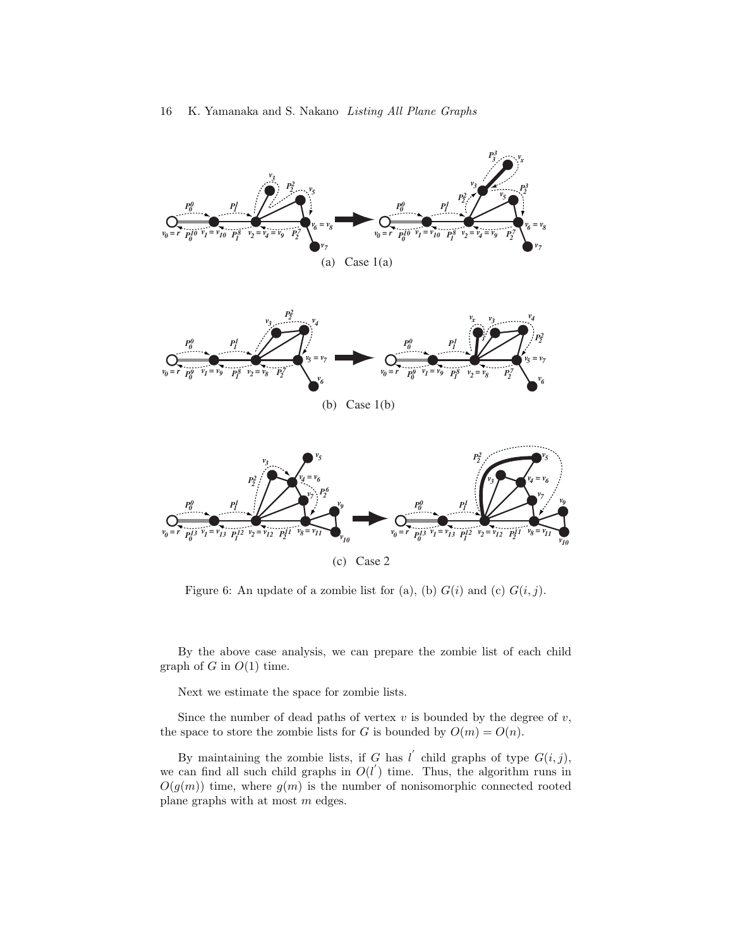

<span id="page-11-0"></span>Figure 6: An update of a zombie list for (a), (b)  $G(i)$  and (c)  $G(i, j)$ .

By the above case analysis, we can prepare the zombie list of each child graph of  $G$  in  $O(1)$  time.

Next we estimate the space for zombie lists.

Since the number of dead paths of vertex  $v$  is bounded by the degree of  $v$ , the space to store the zombie lists for G is bounded by  $O(m) = O(n)$ .

By maintaining the zombie lists, if G has l' child graphs of type  $G(i, j)$ , we can find all such child graphs in  $O(l')$  time. Thus, the algorithm runs in  $O(g(m))$  time, where  $g(m)$  is the number of nonisomorphic connected rooted plane graphs with at most m edges.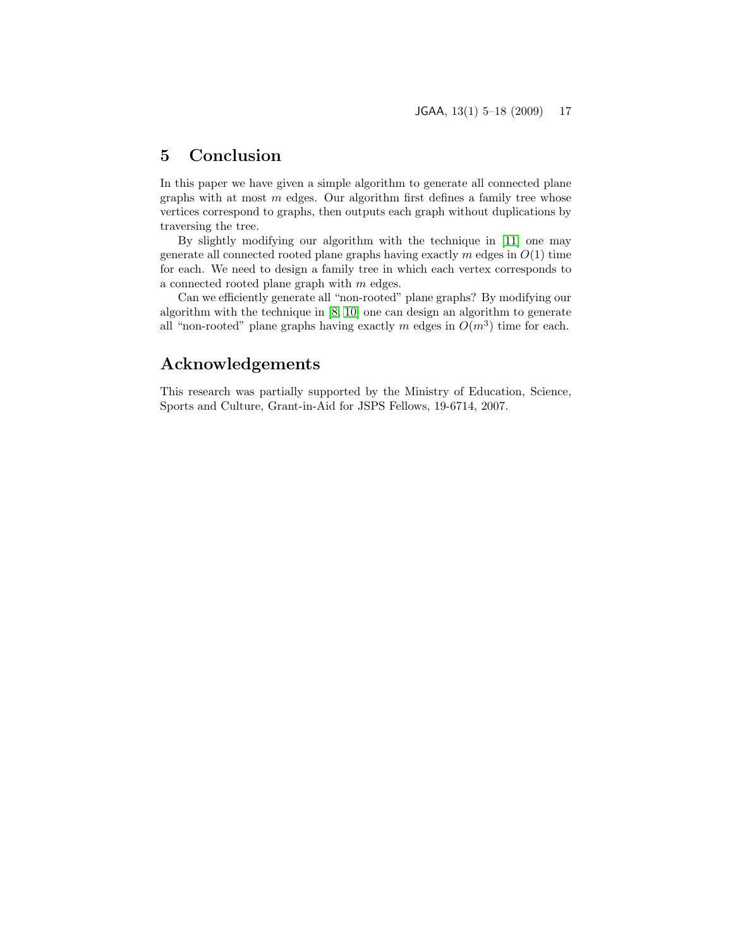## 5 Conclusion

In this paper we have given a simple algorithm to generate all connected plane graphs with at most  $m$  edges. Our algorithm first defines a family tree whose vertices correspond to graphs, then outputs each graph without duplications by traversing the tree.

By slightly modifying our algorithm with the technique in [\[11\]](#page-13-14) one may generate all connected rooted plane graphs having exactly  $m$  edges in  $O(1)$  time for each. We need to design a family tree in which each vertex corresponds to a connected rooted plane graph with m edges.

Can we efficiently generate all "non-rooted" plane graphs? By modifying our algorithm with the technique in [\[8,](#page-13-3) [10\]](#page-13-4) one can design an algorithm to generate all "non-rooted" plane graphs having exactly m edges in  $O(m^3)$  time for each.

# Acknowledgements

This research was partially supported by the Ministry of Education, Science, Sports and Culture, Grant-in-Aid for JSPS Fellows, 19-6714, 2007.